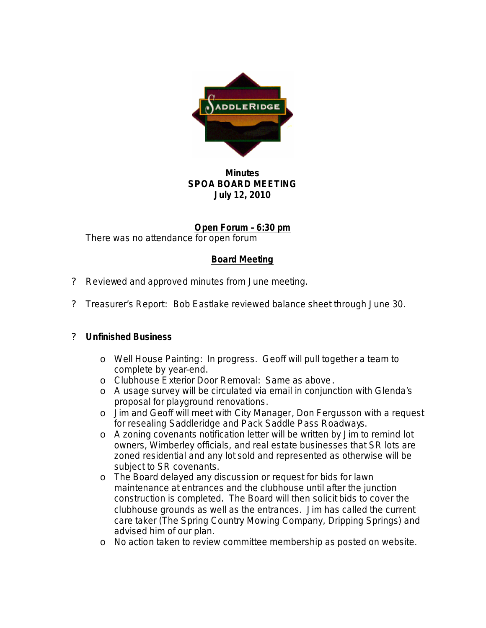

## **Minutes SPOA BOARD MEETING July 12, 2010**

**Open Forum – 6:30 pm** There was no attendance for open forum

## **Board Meeting**

- ? Reviewed and approved minutes from June meeting.
- ? Treasurer's Report:Bob Eastlake reviewed balance sheet through June 30.

## ? **Unfinished Business**

- o Well House Painting: In progress. Geoff will pull together a team to complete by year-end.
- o Clubhouse Exterior Door Removal: Same as above.
- o A usage survey will be circulated via email in conjunction with Glenda's proposal for playground renovations.
- o Jim and Geoff will meet with City Manager, Don Fergusson with a request for resealing Saddleridge and Pack Saddle Pass Roadways.
- o A zoning covenants notification letter will be written by Jim to remind lot owners, Wimberley officials, and real estate businesses that SR lots are zoned residential and any lot sold and represented as otherwise will be subject to SR covenants.
- o The Board delayed any discussion or request for bids for lawn maintenance at entrances and the clubhouse until after the junction construction is completed. The Board will then solicit bids to cover the clubhouse grounds as well as the entrances. Jim has called the current care taker (The Spring Country Mowing Company, Dripping Springs) and advised him of our plan.
- o No action taken to review committee membership as posted on website.